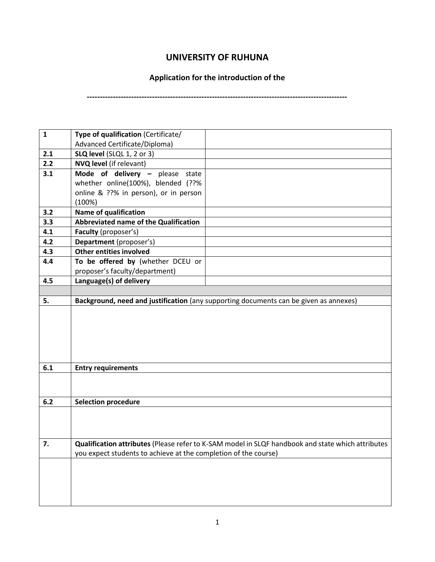## **UNIVERSITY OF RUHUNA**

## **Application for the introduction of the**

**----------------------------------------------------------------------------------------------------**

| $\mathbf{1}$ | Type of qualification (Certificate/                             |                                                                                                   |
|--------------|-----------------------------------------------------------------|---------------------------------------------------------------------------------------------------|
|              | Advanced Certificate/Diploma)                                   |                                                                                                   |
| 2.1          | SLQ level (SLQL 1, 2 or 3)                                      |                                                                                                   |
| 2.2          | <b>NVQ level</b> (if relevant)                                  |                                                                                                   |
| 3.1          | Mode of delivery - please state                                 |                                                                                                   |
|              | whether online(100%), blended (??%                              |                                                                                                   |
|              | online & ??% in person), or in person                           |                                                                                                   |
|              | (100%)                                                          |                                                                                                   |
| 3.2          | <b>Name of qualification</b>                                    |                                                                                                   |
| 3.3          | Abbreviated name of the Qualification                           |                                                                                                   |
| 4.1          | Faculty (proposer's)                                            |                                                                                                   |
| 4.2          | Department (proposer's)                                         |                                                                                                   |
| 4.3          | <b>Other entities involved</b>                                  |                                                                                                   |
| 4.4          | To be offered by (whether DCEU or                               |                                                                                                   |
|              | proposer's faculty/department)                                  |                                                                                                   |
| 4.5          | Language(s) of delivery                                         |                                                                                                   |
|              |                                                                 |                                                                                                   |
| 5.           |                                                                 | Background, need and justification (any supporting documents can be given as annexes)             |
|              |                                                                 |                                                                                                   |
|              |                                                                 |                                                                                                   |
|              |                                                                 |                                                                                                   |
|              |                                                                 |                                                                                                   |
|              |                                                                 |                                                                                                   |
| 6.1          | <b>Entry requirements</b>                                       |                                                                                                   |
|              |                                                                 |                                                                                                   |
|              |                                                                 |                                                                                                   |
| 6.2          | <b>Selection procedure</b>                                      |                                                                                                   |
|              |                                                                 |                                                                                                   |
|              |                                                                 |                                                                                                   |
|              |                                                                 |                                                                                                   |
| 7.           |                                                                 | Qualification attributes (Please refer to K-SAM model in SLQF handbook and state which attributes |
|              | you expect students to achieve at the completion of the course) |                                                                                                   |
|              |                                                                 |                                                                                                   |
|              |                                                                 |                                                                                                   |
|              |                                                                 |                                                                                                   |
|              |                                                                 |                                                                                                   |
|              |                                                                 |                                                                                                   |
|              |                                                                 |                                                                                                   |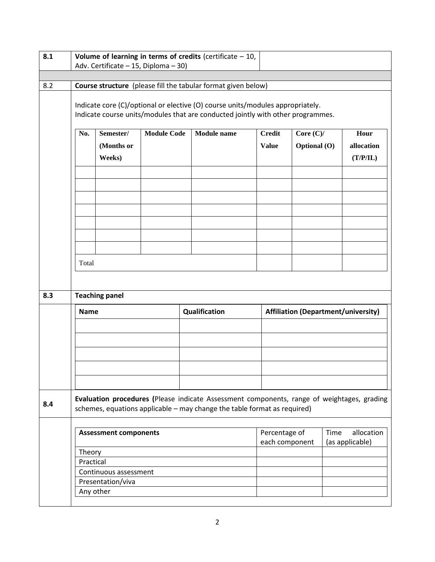| 8.1 | Volume of learning in terms of credits (certificate $-10$ ,<br>Adv. Certificate - 15, Diploma - 30) |                                                                                                                                                                   |                    |                                                                                                                                                                        |                                 |                             |                                              |
|-----|-----------------------------------------------------------------------------------------------------|-------------------------------------------------------------------------------------------------------------------------------------------------------------------|--------------------|------------------------------------------------------------------------------------------------------------------------------------------------------------------------|---------------------------------|-----------------------------|----------------------------------------------|
|     |                                                                                                     |                                                                                                                                                                   |                    |                                                                                                                                                                        |                                 |                             |                                              |
| 8.2 |                                                                                                     | Course structure (please fill the tabular format given below)                                                                                                     |                    |                                                                                                                                                                        |                                 |                             |                                              |
|     |                                                                                                     | Indicate core (C)/optional or elective (O) course units/modules appropriately.<br>Indicate course units/modules that are conducted jointly with other programmes. |                    |                                                                                                                                                                        |                                 |                             |                                              |
|     | No.                                                                                                 | Semester/<br>(Months or<br>Weeks)                                                                                                                                 | <b>Module Code</b> | Module name                                                                                                                                                            | Credit<br><b>Value</b>          | Core $(C)/$<br>Optional (O) | Hour<br>allocation<br>(T/P/IL)               |
|     |                                                                                                     |                                                                                                                                                                   |                    |                                                                                                                                                                        |                                 |                             |                                              |
|     | Total                                                                                               |                                                                                                                                                                   |                    |                                                                                                                                                                        |                                 |                             |                                              |
| 8.3 | <b>Teaching panel</b>                                                                               |                                                                                                                                                                   |                    |                                                                                                                                                                        |                                 |                             |                                              |
|     | <b>Name</b>                                                                                         |                                                                                                                                                                   |                    | Qualification                                                                                                                                                          |                                 |                             | <b>Affiliation (Department/university)</b>   |
|     |                                                                                                     |                                                                                                                                                                   |                    |                                                                                                                                                                        |                                 |                             |                                              |
| 8.4 |                                                                                                     |                                                                                                                                                                   |                    | Evaluation procedures (Please indicate Assessment components, range of weightages, grading<br>schemes, equations applicable - may change the table format as required) |                                 |                             |                                              |
|     |                                                                                                     | <b>Assessment components</b>                                                                                                                                      |                    |                                                                                                                                                                        | Percentage of<br>each component |                             | <b>Time</b><br>allocation<br>(as applicable) |
|     | Theory<br>Practical                                                                                 |                                                                                                                                                                   |                    |                                                                                                                                                                        |                                 |                             |                                              |
|     |                                                                                                     | Continuous assessment                                                                                                                                             |                    |                                                                                                                                                                        |                                 |                             |                                              |
|     |                                                                                                     | Presentation/viva                                                                                                                                                 |                    |                                                                                                                                                                        |                                 |                             |                                              |
|     |                                                                                                     | Any other                                                                                                                                                         |                    |                                                                                                                                                                        |                                 |                             |                                              |
|     |                                                                                                     |                                                                                                                                                                   |                    |                                                                                                                                                                        |                                 |                             |                                              |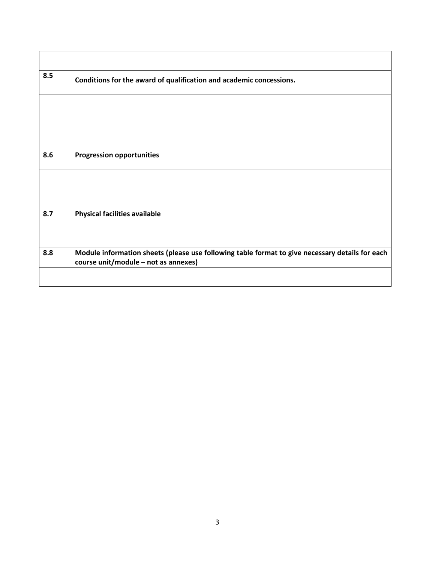| 8.5 | Conditions for the award of qualification and academic concessions.                                                                     |
|-----|-----------------------------------------------------------------------------------------------------------------------------------------|
|     |                                                                                                                                         |
|     |                                                                                                                                         |
| 8.6 |                                                                                                                                         |
|     | <b>Progression opportunities</b>                                                                                                        |
|     |                                                                                                                                         |
|     |                                                                                                                                         |
| 8.7 | <b>Physical facilities available</b>                                                                                                    |
|     |                                                                                                                                         |
| 8.8 | Module information sheets (please use following table format to give necessary details for each<br>course unit/module - not as annexes) |
|     |                                                                                                                                         |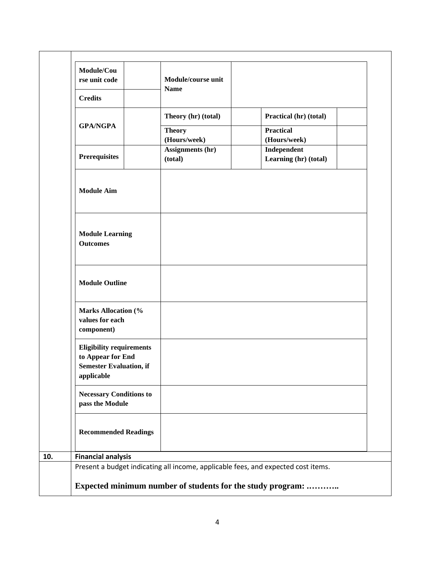| Module/Cou<br>rse unit code                                                                          | Module/course unit<br><b>Name</b> |                                                                                   |
|------------------------------------------------------------------------------------------------------|-----------------------------------|-----------------------------------------------------------------------------------|
| <b>Credits</b>                                                                                       |                                   |                                                                                   |
|                                                                                                      | Theory (hr) (total)               | Practical (hr) (total)                                                            |
| <b>GPA/NGPA</b>                                                                                      | <b>Theory</b><br>(Hours/week)     | <b>Practical</b><br>(Hours/week)                                                  |
| <b>Prerequisites</b>                                                                                 | Assignments (hr)<br>(total)       | Independent<br>Learning (hr) (total)                                              |
| <b>Module Aim</b>                                                                                    |                                   |                                                                                   |
| <b>Module Learning</b><br><b>Outcomes</b>                                                            |                                   |                                                                                   |
| <b>Module Outline</b>                                                                                |                                   |                                                                                   |
| <b>Marks Allocation (%</b><br>values for each<br>component)                                          |                                   |                                                                                   |
| <b>Eligibility requirements</b><br>to Appear for End<br><b>Semester Evaluation, if</b><br>applicable |                                   |                                                                                   |
| <b>Necessary Conditions to</b><br>pass the Module                                                    |                                   |                                                                                   |
| <b>Recommended Readings</b>                                                                          |                                   |                                                                                   |
| <b>Financial analysis</b>                                                                            |                                   |                                                                                   |
|                                                                                                      |                                   | Present a budget indicating all income, applicable fees, and expected cost items. |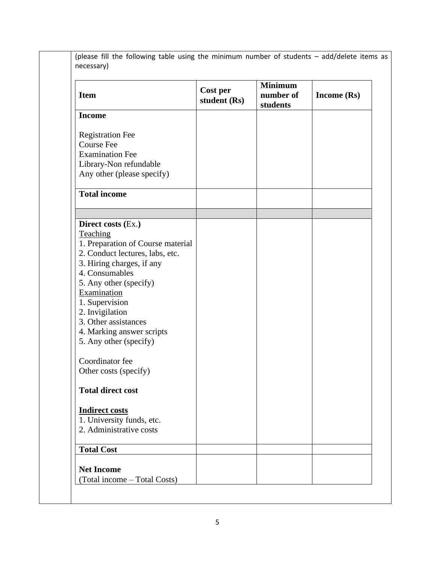(please fill the following table using the minimum number of students – add/delete items as necessary)

| <b>Item</b>                                                                                                                                                                                                                                                                                                                                                    | Cost per<br>student (Rs) | <b>Minimum</b><br>number of<br>students | Income $(Rs)$ |
|----------------------------------------------------------------------------------------------------------------------------------------------------------------------------------------------------------------------------------------------------------------------------------------------------------------------------------------------------------------|--------------------------|-----------------------------------------|---------------|
| <b>Income</b>                                                                                                                                                                                                                                                                                                                                                  |                          |                                         |               |
| <b>Registration Fee</b><br><b>Course Fee</b><br><b>Examination Fee</b><br>Library-Non refundable<br>Any other (please specify)                                                                                                                                                                                                                                 |                          |                                         |               |
| <b>Total income</b>                                                                                                                                                                                                                                                                                                                                            |                          |                                         |               |
|                                                                                                                                                                                                                                                                                                                                                                |                          |                                         |               |
| Direct costs (Ex.)<br>Teaching<br>1. Preparation of Course material<br>2. Conduct lectures, labs, etc.<br>3. Hiring charges, if any<br>4. Consumables<br>5. Any other (specify)<br>Examination<br>1. Supervision<br>2. Invigilation<br>3. Other assistances<br>4. Marking answer scripts<br>5. Any other (specify)<br>Coordinator fee<br>Other costs (specify) |                          |                                         |               |
| <b>Total direct cost</b>                                                                                                                                                                                                                                                                                                                                       |                          |                                         |               |
| <b>Indirect costs</b><br>1. University funds, etc.<br>2. Administrative costs                                                                                                                                                                                                                                                                                  |                          |                                         |               |
| <b>Total Cost</b>                                                                                                                                                                                                                                                                                                                                              |                          |                                         |               |
| <b>Net Income</b><br>(Total income - Total Costs)                                                                                                                                                                                                                                                                                                              |                          |                                         |               |